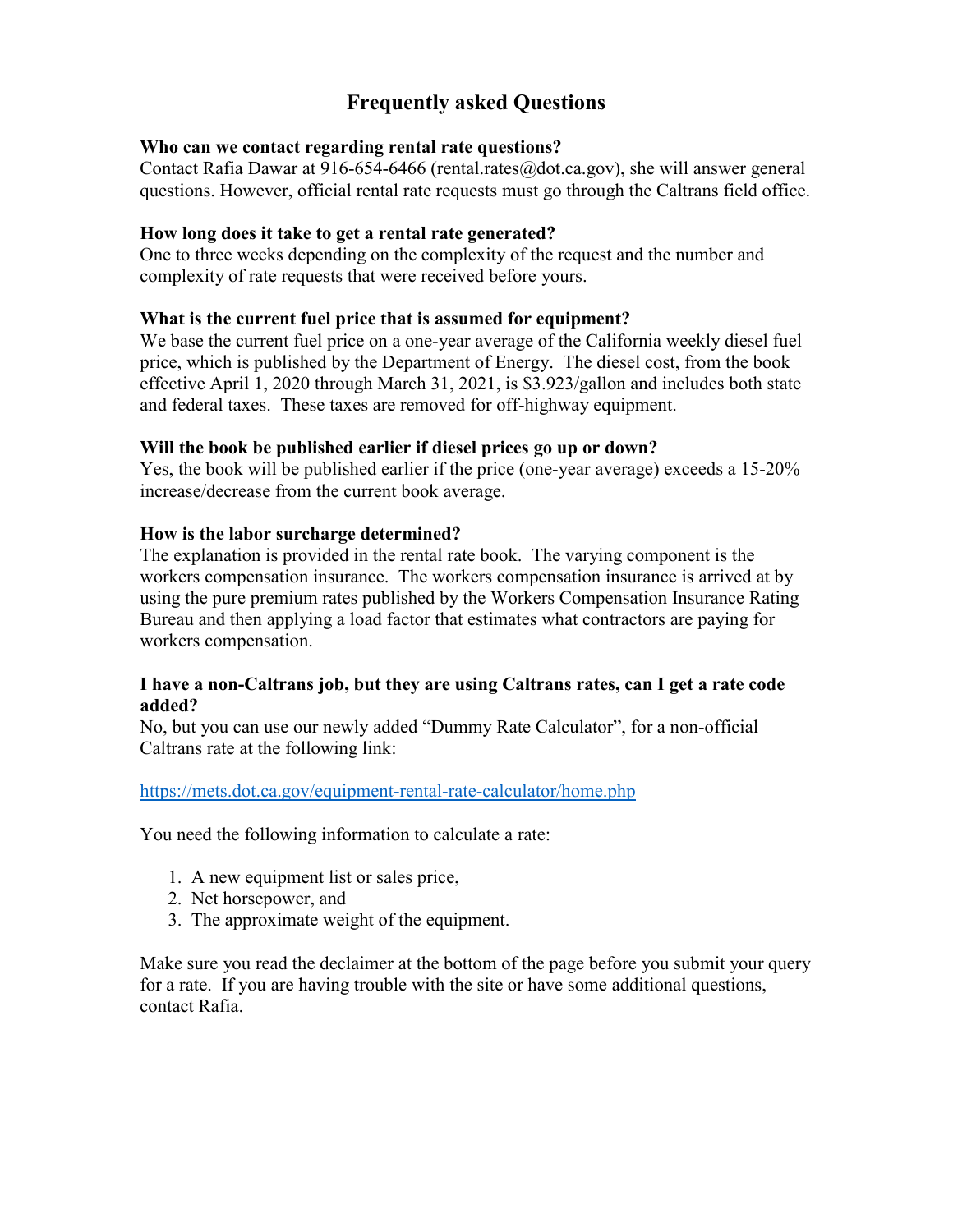# **Frequently asked Questions**

#### **Who can we contact regarding rental rate questions?**

Contact Rafia Dawar at 916-654-6466 (rental.rates@dot.ca.gov), she will answer general questions. However, official rental rate requests must go through the Caltrans field office.

#### **How long does it take to get a rental rate generated?**

One to three weeks depending on the complexity of the request and the number and complexity of rate requests that were received before yours.

## **What is the current fuel price that is assumed for equipment?**

We base the current fuel price on a one-year average of the California weekly diesel fuel price, which is published by the Department of Energy. The diesel cost, from the book effective April 1, 2020 through March 31, 2021, is \$3.923/gallon and includes both state and federal taxes. These taxes are removed for off-highway equipment.

## **Will the book be published earlier if diesel prices go up or down?**

Yes, the book will be published earlier if the price (one-year average) exceeds a 15-20% increase/decrease from the current book average.

## **How is the labor surcharge determined?**

The explanation is provided in the rental rate book. The varying component is the workers compensation insurance. The workers compensation insurance is arrived at by using the pure premium rates published by the Workers Compensation Insurance Rating Bureau and then applying a load factor that estimates what contractors are paying for workers compensation.

## **I have a non-Caltrans job, but they are using Caltrans rates, can I get a rate code added?**

No, but you can use our newly added "Dummy Rate Calculator", for a non-official Caltrans rate at the following link:

#### <https://mets.dot.ca.gov/equipment-rental-rate-calculator/home.php>

You need the following information to calculate a rate:

- 1. A new equipment list or sales price,
- 2. Net horsepower, and
- 3. The approximate weight of the equipment.

Make sure you read the declaimer at the bottom of the page before you submit your query for a rate. If you are having trouble with the site or have some additional questions, contact Rafia.